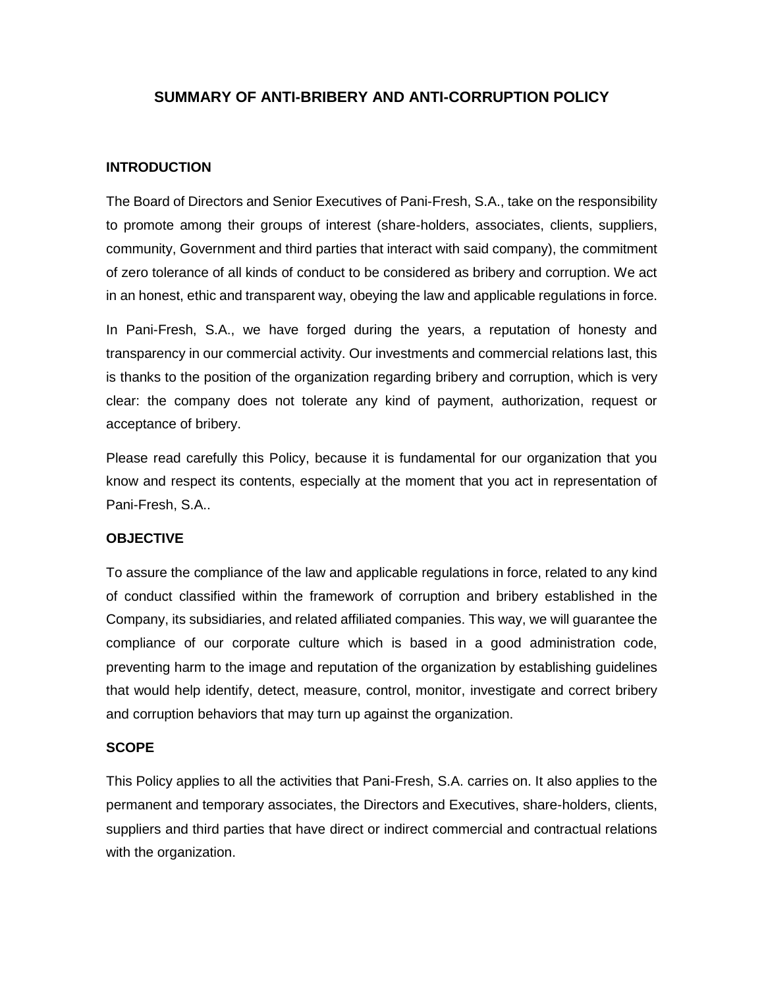# **SUMMARY OF ANTI-BRIBERY AND ANTI-CORRUPTION POLICY**

#### **INTRODUCTION**

The Board of Directors and Senior Executives of Pani-Fresh, S.A., take on the responsibility to promote among their groups of interest (share-holders, associates, clients, suppliers, community, Government and third parties that interact with said company), the commitment of zero tolerance of all kinds of conduct to be considered as bribery and corruption. We act in an honest, ethic and transparent way, obeying the law and applicable regulations in force.

In Pani-Fresh, S.A., we have forged during the years, a reputation of honesty and transparency in our commercial activity. Our investments and commercial relations last, this is thanks to the position of the organization regarding bribery and corruption, which is very clear: the company does not tolerate any kind of payment, authorization, request or acceptance of bribery.

Please read carefully this Policy, because it is fundamental for our organization that you know and respect its contents, especially at the moment that you act in representation of Pani-Fresh, S.A..

#### **OBJECTIVE**

To assure the compliance of the law and applicable regulations in force, related to any kind of conduct classified within the framework of corruption and bribery established in the Company, its subsidiaries, and related affiliated companies. This way, we will guarantee the compliance of our corporate culture which is based in a good administration code, preventing harm to the image and reputation of the organization by establishing guidelines that would help identify, detect, measure, control, monitor, investigate and correct bribery and corruption behaviors that may turn up against the organization.

#### **SCOPE**

This Policy applies to all the activities that Pani-Fresh, S.A. carries on. It also applies to the permanent and temporary associates, the Directors and Executives, share-holders, clients, suppliers and third parties that have direct or indirect commercial and contractual relations with the organization.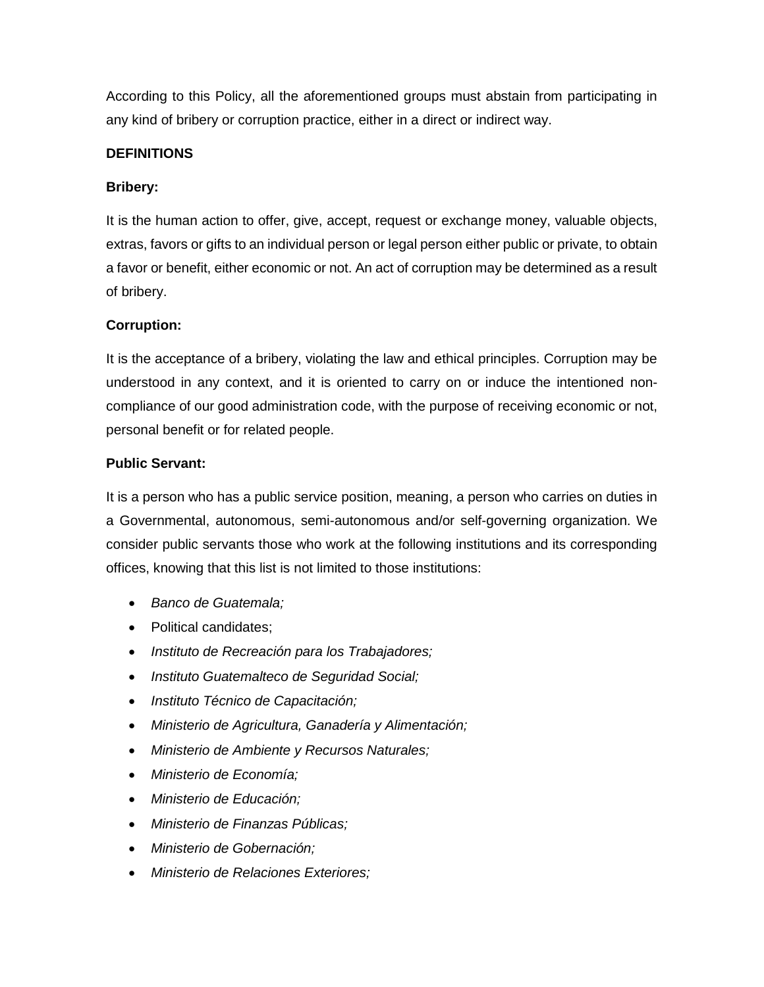According to this Policy, all the aforementioned groups must abstain from participating in any kind of bribery or corruption practice, either in a direct or indirect way.

### **DEFINITIONS**

### **Bribery:**

It is the human action to offer, give, accept, request or exchange money, valuable objects, extras, favors or gifts to an individual person or legal person either public or private, to obtain a favor or benefit, either economic or not. An act of corruption may be determined as a result of bribery.

### **Corruption:**

It is the acceptance of a bribery, violating the law and ethical principles. Corruption may be understood in any context, and it is oriented to carry on or induce the intentioned noncompliance of our good administration code, with the purpose of receiving economic or not, personal benefit or for related people.

### **Public Servant:**

It is a person who has a public service position, meaning, a person who carries on duties in a Governmental, autonomous, semi-autonomous and/or self-governing organization. We consider public servants those who work at the following institutions and its corresponding offices, knowing that this list is not limited to those institutions:

- *Banco de Guatemala;*
- Political candidates;
- *Instituto de Recreación para los Trabajadores;*
- *Instituto Guatemalteco de Seguridad Social;*
- *Instituto Técnico de Capacitación;*
- *Ministerio de Agricultura, Ganadería y Alimentación;*
- *Ministerio de Ambiente y Recursos Naturales;*
- *Ministerio de Economía;*
- *Ministerio de Educación;*
- *Ministerio de Finanzas Públicas;*
- *Ministerio de Gobernación;*
- *Ministerio de Relaciones Exteriores;*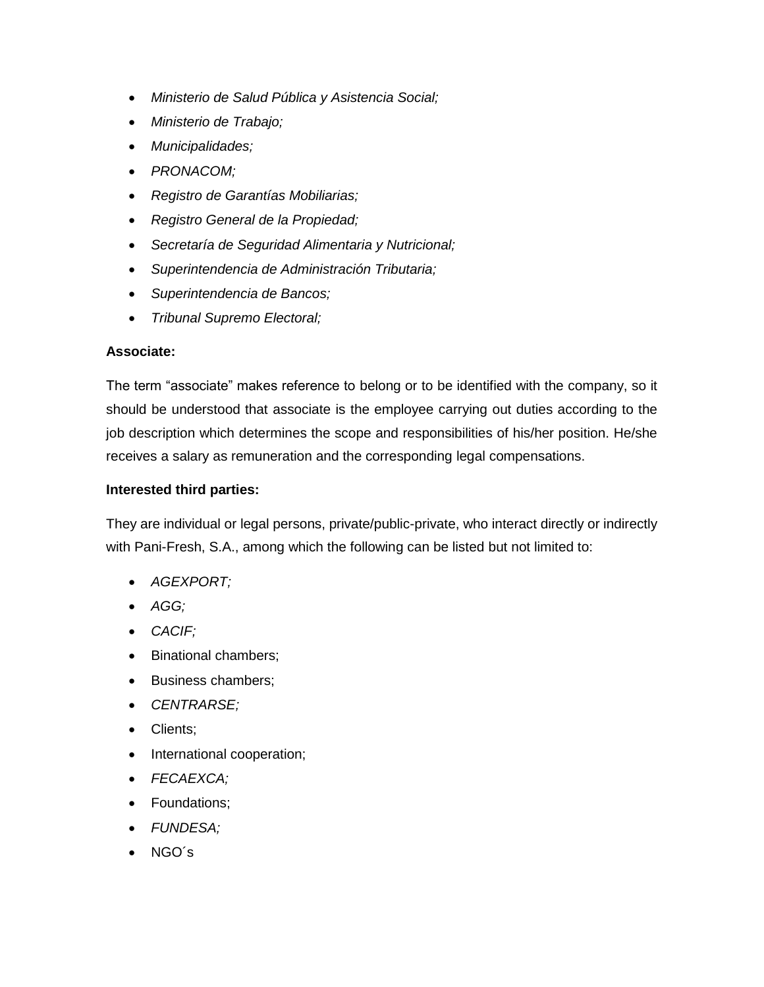- *Ministerio de Salud Pública y Asistencia Social;*
- *Ministerio de Trabajo;*
- *Municipalidades;*
- *PRONACOM;*
- *Registro de Garantías Mobiliarias;*
- *Registro General de la Propiedad;*
- *Secretaría de Seguridad Alimentaria y Nutricional;*
- *Superintendencia de Administración Tributaria;*
- *Superintendencia de Bancos;*
- *Tribunal Supremo Electoral;*

#### **Associate:**

The term "associate" makes reference to belong or to be identified with the company, so it should be understood that associate is the employee carrying out duties according to the job description which determines the scope and responsibilities of his/her position. He/she receives a salary as remuneration and the corresponding legal compensations.

#### **Interested third parties:**

They are individual or legal persons, private/public-private, who interact directly or indirectly with Pani-Fresh, S.A., among which the following can be listed but not limited to:

- *AGEXPORT;*
- *AGG;*
- *CACIF;*
- Binational chambers;
- Business chambers;
- *CENTRARSE;*
- Clients;
- International cooperation;
- *FECAEXCA;*
- Foundations;
- *FUNDESA;*
- NGO´s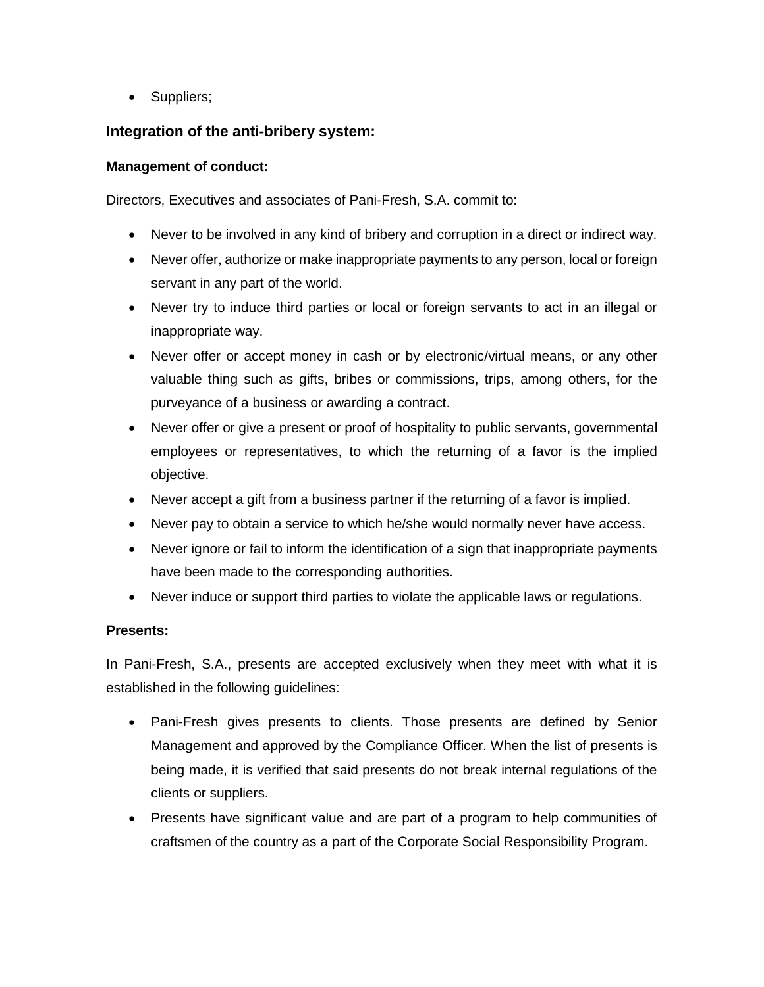• Suppliers;

## **Integration of the anti-bribery system:**

#### **Management of conduct:**

Directors, Executives and associates of Pani-Fresh, S.A. commit to:

- Never to be involved in any kind of bribery and corruption in a direct or indirect way.
- Never offer, authorize or make inappropriate payments to any person, local or foreign servant in any part of the world.
- Never try to induce third parties or local or foreign servants to act in an illegal or inappropriate way.
- Never offer or accept money in cash or by electronic/virtual means, or any other valuable thing such as gifts, bribes or commissions, trips, among others, for the purveyance of a business or awarding a contract.
- Never offer or give a present or proof of hospitality to public servants, governmental employees or representatives, to which the returning of a favor is the implied objective.
- Never accept a gift from a business partner if the returning of a favor is implied.
- Never pay to obtain a service to which he/she would normally never have access.
- Never ignore or fail to inform the identification of a sign that inappropriate payments have been made to the corresponding authorities.
- Never induce or support third parties to violate the applicable laws or regulations.

### **Presents:**

In Pani-Fresh, S.A., presents are accepted exclusively when they meet with what it is established in the following guidelines:

- Pani-Fresh gives presents to clients. Those presents are defined by Senior Management and approved by the Compliance Officer. When the list of presents is being made, it is verified that said presents do not break internal regulations of the clients or suppliers.
- Presents have significant value and are part of a program to help communities of craftsmen of the country as a part of the Corporate Social Responsibility Program.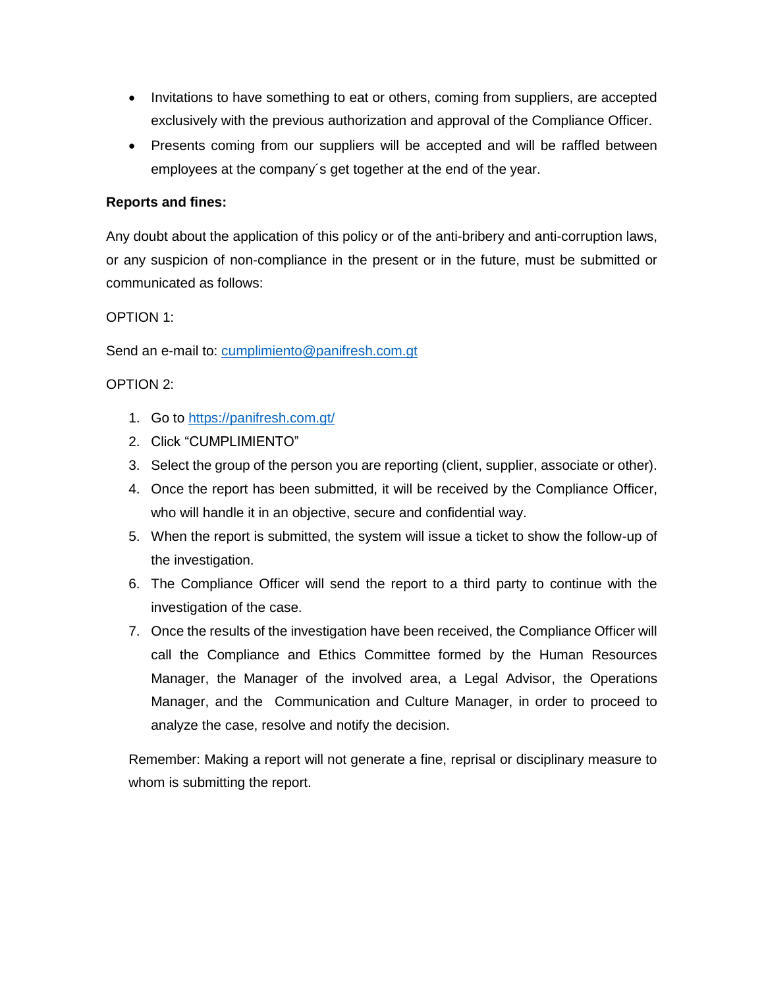- Invitations to have something to eat or others, coming from suppliers, are accepted exclusively with the previous authorization and approval of the Compliance Officer.
- Presents coming from our suppliers will be accepted and will be raffled between employees at the company´s get together at the end of the year.

## **Reports and fines:**

Any doubt about the application of this policy or of the anti-bribery and anti-corruption laws, or any suspicion of non-compliance in the present or in the future, must be submitted or communicated as follows:

### OPTION 1:

Send an e-mail to: [cumplimiento@panifresh.com.gt](mailto:cumplimiento@panifresh.com.gt)

### OPTION 2:

- 1. Go to<https://panifresh.com.gt/>
- 2. Click "CUMPLIMIENTO"
- 3. Select the group of the person you are reporting (client, supplier, associate or other).
- 4. Once the report has been submitted, it will be received by the Compliance Officer, who will handle it in an objective, secure and confidential way.
- 5. When the report is submitted, the system will issue a ticket to show the follow-up of the investigation.
- 6. The Compliance Officer will send the report to a third party to continue with the investigation of the case.
- 7. Once the results of the investigation have been received, the Compliance Officer will call the Compliance and Ethics Committee formed by the Human Resources Manager, the Manager of the involved area, a Legal Advisor, the Operations Manager, and the Communication and Culture Manager, in order to proceed to analyze the case, resolve and notify the decision.

Remember: Making a report will not generate a fine, reprisal or disciplinary measure to whom is submitting the report.